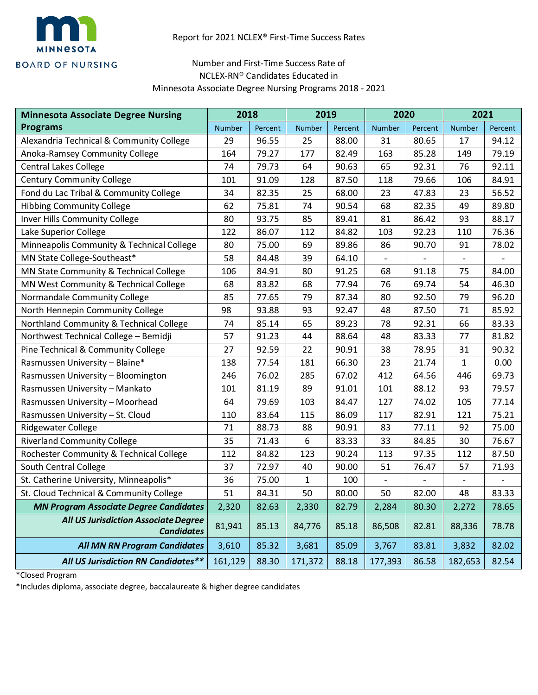

## Number and First-Time Success Rate of NCLEX-RN® Candidates Educated in Minnesota Associate Degree Nursing Programs 2018 - 2021

| <b>Minnesota Associate Degree Nursing</b>                        | 2018    |         | 2019          |         | 2020          |         | 2021          |         |
|------------------------------------------------------------------|---------|---------|---------------|---------|---------------|---------|---------------|---------|
| <b>Programs</b>                                                  | Number  | Percent | <b>Number</b> | Percent | <b>Number</b> | Percent | <b>Number</b> | Percent |
| Alexandria Technical & Community College                         | 29      | 96.55   | 25            | 88.00   | 31            | 80.65   | 17            | 94.12   |
| Anoka-Ramsey Community College                                   | 164     | 79.27   | 177           | 82.49   | 163           | 85.28   | 149           | 79.19   |
| Central Lakes College                                            | 74      | 79.73   | 64            | 90.63   | 65            | 92.31   | 76            | 92.11   |
| <b>Century Community College</b>                                 | 101     | 91.09   | 128           | 87.50   | 118           | 79.66   | 106           | 84.91   |
| Fond du Lac Tribal & Community College                           | 34      | 82.35   | 25            | 68.00   | 23            | 47.83   | 23            | 56.52   |
| <b>Hibbing Community College</b>                                 | 62      | 75.81   | 74            | 90.54   | 68            | 82.35   | 49            | 89.80   |
| Inver Hills Community College                                    | 80      | 93.75   | 85            | 89.41   | 81            | 86.42   | 93            | 88.17   |
| Lake Superior College                                            | 122     | 86.07   | 112           | 84.82   | 103           | 92.23   | 110           | 76.36   |
| Minneapolis Community & Technical College                        | 80      | 75.00   | 69            | 89.86   | 86            | 90.70   | 91            | 78.02   |
| MN State College-Southeast*                                      | 58      | 84.48   | 39            | 64.10   |               |         |               |         |
| MN State Community & Technical College                           | 106     | 84.91   | 80            | 91.25   | 68            | 91.18   | 75            | 84.00   |
| MN West Community & Technical College                            | 68      | 83.82   | 68            | 77.94   | 76            | 69.74   | 54            | 46.30   |
| Normandale Community College                                     | 85      | 77.65   | 79            | 87.34   | 80            | 92.50   | 79            | 96.20   |
| North Hennepin Community College                                 | 98      | 93.88   | 93            | 92.47   | 48            | 87.50   | 71            | 85.92   |
| Northland Community & Technical College                          | 74      | 85.14   | 65            | 89.23   | 78            | 92.31   | 66            | 83.33   |
| Northwest Technical College - Bemidji                            | 57      | 91.23   | 44            | 88.64   | 48            | 83.33   | 77            | 81.82   |
| Pine Technical & Community College                               | 27      | 92.59   | 22            | 90.91   | 38            | 78.95   | 31            | 90.32   |
| Rasmussen University - Blaine*                                   | 138     | 77.54   | 181           | 66.30   | 23            | 21.74   | 1             | 0.00    |
| Rasmussen University - Bloomington                               | 246     | 76.02   | 285           | 67.02   | 412           | 64.56   | 446           | 69.73   |
| Rasmussen University - Mankato                                   | 101     | 81.19   | 89            | 91.01   | 101           | 88.12   | 93            | 79.57   |
| Rasmussen University - Moorhead                                  | 64      | 79.69   | 103           | 84.47   | 127           | 74.02   | 105           | 77.14   |
| Rasmussen University - St. Cloud                                 | 110     | 83.64   | 115           | 86.09   | 117           | 82.91   | 121           | 75.21   |
| Ridgewater College                                               | 71      | 88.73   | 88            | 90.91   | 83            | 77.11   | 92            | 75.00   |
| <b>Riverland Community College</b>                               | 35      | 71.43   | 6             | 83.33   | 33            | 84.85   | 30            | 76.67   |
| Rochester Community & Technical College                          | 112     | 84.82   | 123           | 90.24   | 113           | 97.35   | 112           | 87.50   |
| South Central College                                            | 37      | 72.97   | 40            | 90.00   | 51            | 76.47   | 57            | 71.93   |
| St. Catherine University, Minneapolis*                           | 36      | 75.00   | $\mathbf{1}$  | 100     |               |         |               |         |
| St. Cloud Technical & Community College                          | 51      | 84.31   | 50            | 80.00   | 50            | 82.00   | 48            | 83.33   |
| <b>MN Program Associate Degree Candidates</b>                    | 2,320   | 82.63   | 2,330         | 82.79   | 2,284         | 80.30   | 2,272         | 78.65   |
| <b>All US Jurisdiction Associate Degree</b><br><b>Candidates</b> | 81,941  | 85.13   | 84,776        | 85.18   | 86,508        | 82.81   | 88,336        | 78.78   |
| <b>All MN RN Program Candidates</b>                              | 3,610   | 85.32   | 3,681         | 85.09   | 3,767         | 83.81   | 3,832         | 82.02   |
| All US Jurisdiction RN Candidates**                              | 161,129 | 88.30   | 171,372       | 88.18   | 177,393       | 86.58   | 182,653       | 82.54   |

\*Closed Program

\*Includes diploma, associate degree, baccalaureate & higher degree candidates